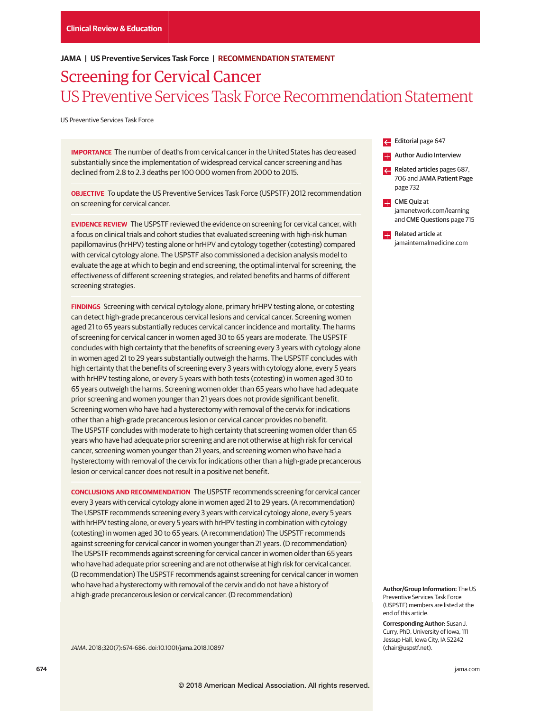# **JAMA | US Preventive Services Task Force | RECOMMENDATION STATEMENT**

# Screening for Cervical Cancer US Preventive Services Task Force Recommendation Statement

US Preventive Services Task Force

**IMPORTANCE** The number of deaths from cervical cancer in the United States has decreased substantially since the implementation of widespread cervical cancer screening and has declined from 2.8 to 2.3 deaths per 100 000 women from 2000 to 2015.

**OBJECTIVE** To update the US Preventive Services Task Force (USPSTF) 2012 recommendation on screening for cervical cancer.

**EVIDENCE REVIEW** The USPSTF reviewed the evidence on screening for cervical cancer, with a focus on clinical trials and cohort studies that evaluated screening with high-risk human papillomavirus (hrHPV) testing alone or hrHPV and cytology together (cotesting) compared with cervical cytology alone. The USPSTF also commissioned a decision analysis model to evaluate the age at which to begin and end screening, the optimal interval for screening, the effectiveness of different screening strategies, and related benefits and harms of different screening strategies.

**FINDINGS** Screening with cervical cytology alone, primary hrHPV testing alone, or cotesting can detect high-grade precancerous cervical lesions and cervical cancer. Screening women aged 21 to 65 years substantially reduces cervical cancer incidence and mortality. The harms of screening for cervical cancer in women aged 30 to 65 years are moderate. The USPSTF concludes with high certainty that the benefits of screening every 3 years with cytology alone in women aged 21 to 29 years substantially outweigh the harms. The USPSTF concludes with high certainty that the benefits of screening every 3 years with cytology alone, every 5 years with hrHPV testing alone, or every 5 years with both tests (cotesting) in women aged 30 to 65 years outweigh the harms. Screening women older than 65 years who have had adequate prior screening and women younger than 21 years does not provide significant benefit. Screening women who have had a hysterectomy with removal of the cervix for indications other than a high-grade precancerous lesion or cervical cancer provides no benefit. The USPSTF concludes with moderate to high certainty that screening women older than 65 years who have had adequate prior screening and are not otherwise at high risk for cervical cancer, screening women younger than 21 years, and screening women who have had a hysterectomy with removal of the cervix for indications other than a high-grade precancerous lesion or cervical cancer does not result in a positive net benefit.

**CONCLUSIONS AND RECOMMENDATION** The USPSTF recommends screening for cervical cancer every 3 years with cervical cytology alone in women aged 21 to 29 years. (A recommendation) The USPSTF recommends screening every 3 years with cervical cytology alone, every 5 years with hrHPV testing alone, or every 5 years with hrHPV testing in combination with cytology (cotesting) in women aged 30 to 65 years. (A recommendation) The USPSTF recommends against screening for cervical cancer in women younger than 21 years. (D recommendation) The USPSTF recommends against screening for cervical cancer in women older than 65 years who have had adequate prior screening and are not otherwise at high risk for cervical cancer. (D recommendation) The USPSTF recommends against screening for cervical cancer in women who have had a hysterectomy with removal of the cervix and do not have a history of a high-grade precancerous lesion or cervical cancer. (D recommendation)

JAMA. 2018;320(7):674-686. doi:10.1001/jama.2018.10897

Editorial page 647

**Example 2 Author Audio Interview** 

- Related articles pages 687, 706 and JAMA Patient Page page 732
- **CME** Quiz at jamanetwork.com/learning and CME Questions page 715
- **Related article at** jamainternalmedicine.com

**Author/Group Information:** The US Preventive Services Task Force (USPSTF) members are listed at the end of this article.

**Corresponding Author:** Susan J. Curry, PhD, University of Iowa, 111 Jessup Hall, Iowa City, IA 52242 (chair@uspstf.net).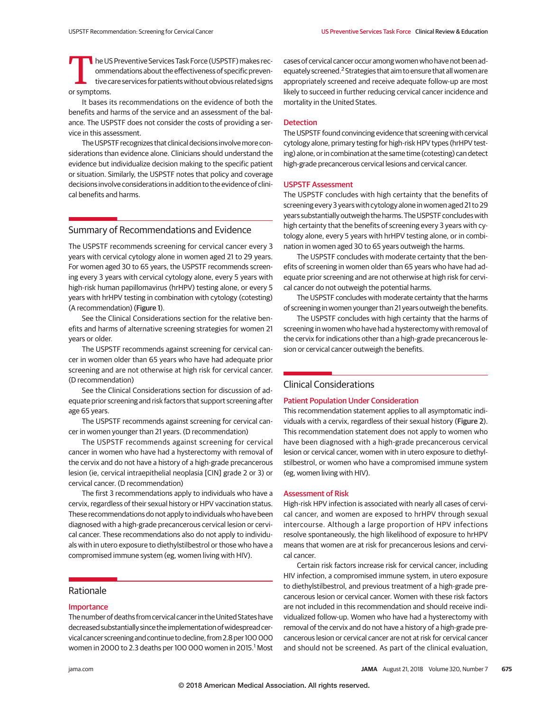The US Preventive Services Task Force (USPSTF) makes rec-<br>
tive care services for patients without obvious related signs<br>
or symptoms ommendations about the effectiveness of specific prevenor symptoms.

It bases its recommendations on the evidence of both the benefits and harms of the service and an assessment of the balance. The USPSTF does not consider the costs of providing a service in this assessment.

The USPSTF recognizes that clinical decisions involve more considerations than evidence alone. Clinicians should understand the evidence but individualize decision making to the specific patient or situation. Similarly, the USPSTF notes that policy and coverage decisions involve considerations in addition to the evidence of clinical benefits and harms.

# Summary of Recommendations and Evidence

The USPSTF recommends screening for cervical cancer every 3 years with cervical cytology alone in women aged 21 to 29 years. For women aged 30 to 65 years, the USPSTF recommends screening every 3 years with cervical cytology alone, every 5 years with high-risk human papillomavirus (hrHPV) testing alone, or every 5 years with hrHPV testing in combination with cytology (cotesting) (A recommendation) (Figure 1).

See the Clinical Considerations section for the relative benefits and harms of alternative screening strategies for women 21 years or older.

The USPSTF recommends against screening for cervical cancer in women older than 65 years who have had adequate prior screening and are not otherwise at high risk for cervical cancer. (D recommendation)

See the Clinical Considerations section for discussion of adequate prior screening and risk factors that support screening after age 65 years.

The USPSTF recommends against screening for cervical cancer in women younger than 21 years. (D recommendation)

The USPSTF recommends against screening for cervical cancer in women who have had a hysterectomy with removal of the cervix and do not have a history of a high-grade precancerous lesion (ie, cervical intraepithelial neoplasia [CIN] grade 2 or 3) or cervical cancer. (D recommendation)

The first 3 recommendations apply to individuals who have a cervix, regardless of their sexual history or HPV vaccination status. These recommendations do not apply to individuals who have been diagnosed with a high-grade precancerous cervical lesion or cervical cancer. These recommendations also do not apply to individuals with in utero exposure to diethylstilbestrol or those who have a compromised immune system (eg, women living with HIV).

# Rationale

# Importance

The number of deaths from cervical cancer in the United States have decreased substantially since the implementation of widespread cervical cancer screening and continue to decline, from 2.8 per 100 000 women in 2000 to 2.3 deaths per 100 000 women in 2015. $^1$  Most

cases of cervical cancer occur among women who have not been adequately screened.<sup>2</sup> Strategies that aim to ensure that all women are appropriately screened and receive adequate follow-up are most likely to succeed in further reducing cervical cancer incidence and mortality in the United States.

# Detection

The USPSTF found convincing evidence that screening with cervical cytology alone, primary testing for high-risk HPV types (hrHPV testing) alone, or in combination at the same time (cotesting) can detect high-grade precancerous cervical lesions and cervical cancer.

#### USPSTF Assessment

The USPSTF concludes with high certainty that the benefits of screening every 3 years with cytology alone in women aged 21 to 29 years substantially outweigh the harms. The USPSTF concludes with high certainty that the benefits of screening every 3 years with cytology alone, every 5 years with hrHPV testing alone, or in combination in women aged 30 to 65 years outweigh the harms.

The USPSTF concludes with moderate certainty that the benefits of screening in women older than 65 years who have had adequate prior screening and are not otherwise at high risk for cervical cancer do not outweigh the potential harms.

The USPSTF concludes with moderate certainty that the harms of screening in women younger than 21 years outweigh the benefits.

The USPSTF concludes with high certainty that the harms of screening in women who have had a hysterectomy with removal of the cervix for indications other than a high-grade precancerous lesion or cervical cancer outweigh the benefits.

# Clinical Considerations

# Patient Population Under Consideration

This recommendation statement applies to all asymptomatic individuals with a cervix, regardless of their sexual history (Figure 2). This recommendation statement does not apply to women who have been diagnosed with a high-grade precancerous cervical lesion or cervical cancer, women with in utero exposure to diethylstilbestrol, or women who have a compromised immune system (eg, women living with HIV).

# Assessment of Risk

High-risk HPV infection is associated with nearly all cases of cervical cancer, and women are exposed to hrHPV through sexual intercourse. Although a large proportion of HPV infections resolve spontaneously, the high likelihood of exposure to hrHPV means that women are at risk for precancerous lesions and cervical cancer.

Certain risk factors increase risk for cervical cancer, including HIV infection, a compromised immune system, in utero exposure to diethylstilbestrol, and previous treatment of a high-grade precancerous lesion or cervical cancer. Women with these risk factors are not included in this recommendation and should receive individualized follow-up. Women who have had a hysterectomy with removal of the cervix and do not have a history of a high-grade precancerous lesion or cervical cancer are not at risk for cervical cancer and should not be screened. As part of the clinical evaluation,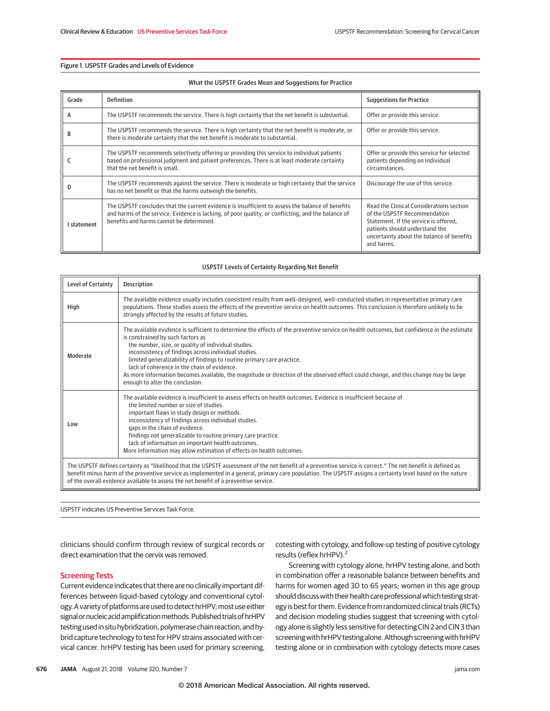# Figure 1. USPSTF Grades and Levels of Evidence

## What the USPSTF Grades Mean and Suggestions for Practice

| Grade     | <b>Definition</b>                                                                                                                                                                                                                                  | <b>Suggestions for Practice</b>                                                                                                                                                                                |
|-----------|----------------------------------------------------------------------------------------------------------------------------------------------------------------------------------------------------------------------------------------------------|----------------------------------------------------------------------------------------------------------------------------------------------------------------------------------------------------------------|
| A         | The USPSTF recommends the service. There is high certainty that the net benefit is substantial.                                                                                                                                                    | Offer or provide this service.                                                                                                                                                                                 |
| в         | The USPSTF recommends the service. There is high certainty that the net benefit is moderate, or<br>there is moderate certainty that the net benefit is moderate to substantial.                                                                    | Offer or provide this service.                                                                                                                                                                                 |
|           | The USPSTF recommends selectively offering or providing this service to individual patients<br>based on professional judgment and patient preferences. There is at least moderate certainty<br>that the net benefit is small.                      | Offer or provide this service for selected<br>patients depending on individual<br>circumstances.                                                                                                               |
|           | The USPSTF recommends against the service. There is moderate or high certainty that the service<br>has no net benefit or that the harms outweigh the benefits.                                                                                     | Discourage the use of this service.                                                                                                                                                                            |
| statement | The USPSTF concludes that the current evidence is insufficient to assess the balance of benefits<br>and harms of the service. Evidence is lacking, of poor quality, or conflicting, and the balance of<br>benefits and harms cannot be determined. | Read the Clinical Considerations section<br>of the USPSTF Recommendation<br>Statement. If the service is offered,<br>patients should understand the<br>uncertainty about the balance of benefits<br>and harms. |

## USPSTF Levels of Certainty Regarding Net Benefit

| <b>Level of Certainty</b>                                                                                                                                                                                                                                                                                                                                                                                           | <b>Description</b>                                                                                                                                                                                                                                                                                                                                                                                                                                                                                                                                                                                |  |
|---------------------------------------------------------------------------------------------------------------------------------------------------------------------------------------------------------------------------------------------------------------------------------------------------------------------------------------------------------------------------------------------------------------------|---------------------------------------------------------------------------------------------------------------------------------------------------------------------------------------------------------------------------------------------------------------------------------------------------------------------------------------------------------------------------------------------------------------------------------------------------------------------------------------------------------------------------------------------------------------------------------------------------|--|
| High                                                                                                                                                                                                                                                                                                                                                                                                                | The available evidence usually includes consistent results from well-designed, well-conducted studies in representative primary care<br>populations. These studies assess the effects of the preventive service on health outcomes. This conclusion is therefore unlikely to be<br>strongly affected by the results of future studies.                                                                                                                                                                                                                                                            |  |
| Moderate                                                                                                                                                                                                                                                                                                                                                                                                            | The available evidence is sufficient to determine the effects of the preventive service on health outcomes, but confidence in the estimate<br>is constrained by such factors as<br>the number, size, or quality of individual studies.<br>inconsistency of findings across individual studies.<br>limited generalizability of findings to routine primary care practice.<br>lack of coherence in the chain of evidence.<br>As more information becomes available, the magnitude or direction of the observed effect could change, and this change may be large<br>enough to alter the conclusion. |  |
| Low                                                                                                                                                                                                                                                                                                                                                                                                                 | The available evidence is insufficient to assess effects on health outcomes. Evidence is insufficient because of<br>the limited number or size of studies.<br>important flaws in study design or methods.<br>inconsistency of findings across individual studies.<br>gaps in the chain of evidence.<br>findings not generalizable to routine primary care practice.<br>lack of information on important health outcomes.<br>More information may allow estimation of effects on health outcomes.                                                                                                  |  |
| The USPSTF defines certainty as "likelihood that the USPSTF assessment of the net benefit of a preventive service is correct." The net benefit is defined as<br>benefit minus harm of the preventive service as implemented in a general, primary care population. The USPSTF assigns a certainty level based on the nature<br>of the overall evidence available to assess the net benefit of a preventive service. |                                                                                                                                                                                                                                                                                                                                                                                                                                                                                                                                                                                                   |  |

USPSTF indicates US Preventive Services Task Force.

clinicians should confirm through review of surgical records or direct examination that the cervix was removed.

## Screening Tests

Current evidence indicates that there are no clinically important differences between liquid-based cytology and conventional cytology. A variety of platforms are used to detect hrHPV; most use either signal or nucleic acid amplification methods. Published trials of hrHPV testing used in situ hybridization, polymerase chain reaction, and hybrid capture technology to test for HPV strains associated with cervical cancer. hrHPV testing has been used for primary screening, cotesting with cytology, and follow-up testing of positive cytology results (reflex hrHPV).2

Screening with cytology alone, hrHPV testing alone, and both in combination offer a reasonable balance between benefits and harms for women aged 30 to 65 years; women in this age group should discuss with their health care professional which testing strategy is best for them. Evidence from randomized clinical trials (RCTs) and decision modeling studies suggest that screening with cytology alone is slightly less sensitive for detecting CIN 2 and CIN 3 than screening with hrHPV testing alone. Although screening with hrHPV testing alone or in combination with cytology detects more cases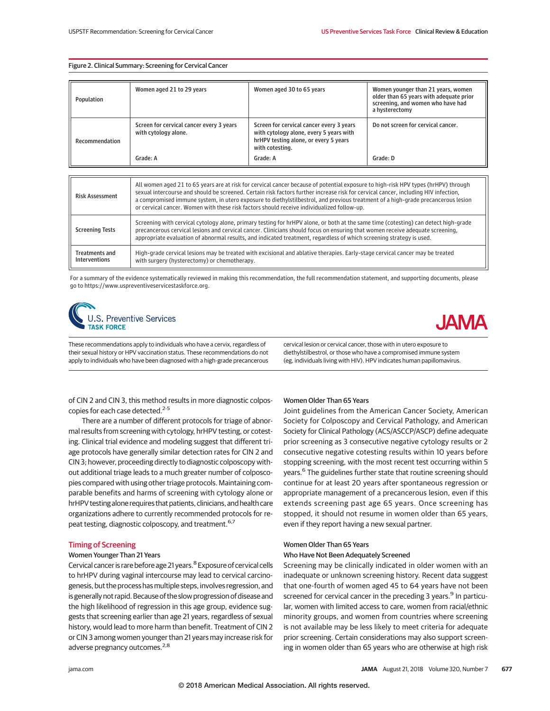## Figure 2. Clinical Summary: Screening for Cervical Cancer

| Population     | Women aged 21 to 29 years                                        | Women aged 30 to 65 years                                                                                                                       | Women younger than 21 years, women<br>older than 65 years with adequate prior<br>screening, and women who have had<br>a hysterectomy |
|----------------|------------------------------------------------------------------|-------------------------------------------------------------------------------------------------------------------------------------------------|--------------------------------------------------------------------------------------------------------------------------------------|
| Recommendation | Screen for cervical cancer every 3 years<br>with cytology alone. | Screen for cervical cancer every 3 years<br>with cytology alone, every 5 years with<br>hrHPV testing alone, or every 5 years<br>with cotesting. | Do not screen for cervical cancer.                                                                                                   |
|                | Grade: A                                                         | Grade: A                                                                                                                                        | Grade: D                                                                                                                             |

| <b>Risk Assessment</b>                 | All women aged 21 to 65 years are at risk for cervical cancer because of potential exposure to high-risk HPV types (hrHPV) through<br>sexual intercourse and should be screened. Certain risk factors further increase risk for cervical cancer, including HIV infection,<br>a compromised immune system, in utero exposure to diethylstilbestrol, and previous treatment of a high-grade precancerous lesion<br>or cervical cancer. Women with these risk factors should receive individualized follow-up. |
|----------------------------------------|-------------------------------------------------------------------------------------------------------------------------------------------------------------------------------------------------------------------------------------------------------------------------------------------------------------------------------------------------------------------------------------------------------------------------------------------------------------------------------------------------------------|
| <b>Screening Tests</b>                 | Screening with cervical cytology alone, primary testing for hrHPV alone, or both at the same time (cotesting) can detect high-grade<br>precancerous cervical lesions and cervical cancer. Clinicians should focus on ensuring that women receive adequate screening,<br>appropriate evaluation of abnormal results, and indicated treatment, regardless of which screening strategy is used.                                                                                                                |
| <b>Treatments and</b><br>Interventions | High-grade cervical lesions may be treated with excisional and ablative therapies. Early-stage cervical cancer may be treated<br>with surgery (hysterectomy) or chemotherapy.                                                                                                                                                                                                                                                                                                                               |

For a summary of the evidence systematically reviewed in making this recommendation, the full recommendation statement, and supporting documents, please go to https://www.uspreventiveservicestaskforce.org.





These recommendations apply to individuals who have a cervix, regardless of their sexual history or HPV vaccination status. These recommendations do not apply to individuals who have been diagnosed with a high-grade precancerous cervical lesion or cervical cancer, those with in utero exposure to diethylstilbestrol, or those who have a compromised immune system (eg, individuals living with HIV). HPV indicates human papillomavirus.

of CIN 2 and CIN 3, this method results in more diagnostic colposcopies for each case detected.<sup>2-5</sup>

There are a number of different protocols for triage of abnormal results from screening with cytology, hrHPV testing, or cotesting. Clinical trial evidence and modeling suggest that different triage protocols have generally similar detection rates for CIN 2 and CIN 3; however, proceeding directly to diagnostic colposcopy without additional triage leads to a much greater number of colposcopies compared with using other triage protocols. Maintaining comparable benefits and harms of screening with cytology alone or hrHPV testing alone requires that patients, clinicians, and health care organizations adhere to currently recommended protocols for repeat testing, diagnostic colposcopy, and treatment.<sup>6,7</sup>

## Timing of Screening

## Women Younger Than 21 Years

Cervical cancer is rare before age 21 years.<sup>8</sup> Exposure of cervical cells to hrHPV during vaginal intercourse may lead to cervical carcinogenesis, but the process has multiple steps, involves regression, and is generally not rapid. Because of the slow progression of disease and the high likelihood of regression in this age group, evidence suggests that screening earlier than age 21 years, regardless of sexual history, would lead to more harm than benefit. Treatment of CIN 2 or CIN 3 among women younger than 21 years may increase risk for adverse pregnancy outcomes.<sup>2,8</sup>

## Women Older Than 65 Years

Joint guidelines from the American Cancer Society, American Society for Colposcopy and Cervical Pathology, and American Society for Clinical Pathology (ACS/ASCCP/ASCP) define adequate prior screening as 3 consecutive negative cytology results or 2 consecutive negative cotesting results within 10 years before stopping screening, with the most recent test occurring within 5 years.<sup>6</sup> The guidelines further state that routine screening should continue for at least 20 years after spontaneous regression or appropriate management of a precancerous lesion, even if this extends screening past age 65 years. Once screening has stopped, it should not resume in women older than 65 years, even if they report having a new sexual partner.

## Women Older Than 65 Years Who Have Not Been Adequately Screened

Screening may be clinically indicated in older women with an inadequate or unknown screening history. Recent data suggest that one-fourth of women aged 45 to 64 years have not been screened for cervical cancer in the preceding 3 years.<sup>9</sup> In particular, women with limited access to care, women from racial/ethnic minority groups, and women from countries where screening is not available may be less likely to meet criteria for adequate prior screening. Certain considerations may also support screening in women older than 65 years who are otherwise at high risk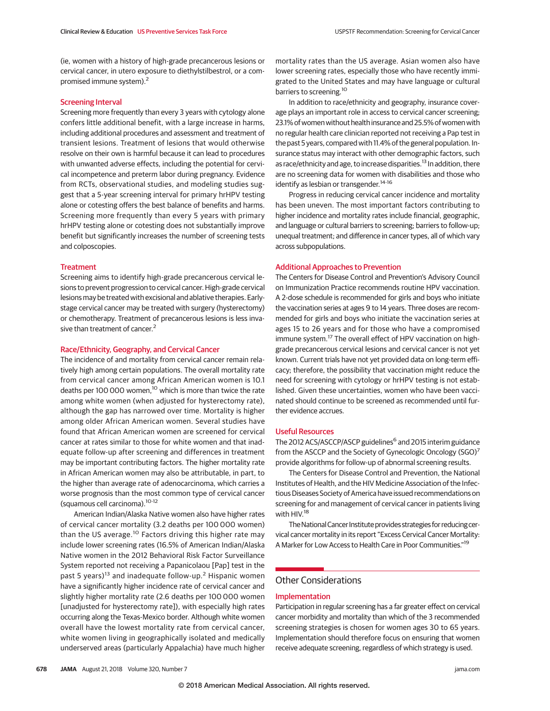(ie, women with a history of high-grade precancerous lesions or cervical cancer, in utero exposure to diethylstilbestrol, or a compromised immune system).<sup>2</sup>

# Screening Interval

Screening more frequently than every 3 years with cytology alone confers little additional benefit, with a large increase in harms, including additional procedures and assessment and treatment of transient lesions. Treatment of lesions that would otherwise resolve on their own is harmful because it can lead to procedures with unwanted adverse effects, including the potential for cervical incompetence and preterm labor during pregnancy. Evidence from RCTs, observational studies, and modeling studies suggest that a 5-year screening interval for primary hrHPV testing alone or cotesting offers the best balance of benefits and harms. Screening more frequently than every 5 years with primary hrHPV testing alone or cotesting does not substantially improve benefit but significantly increases the number of screening tests and colposcopies.

#### **Treatment**

Screening aims to identify high-grade precancerous cervical lesions to prevent progression to cervical cancer. High-grade cervical lesions may be treated with excisional and ablative therapies. Earlystage cervical cancer may be treated with surgery (hysterectomy) or chemotherapy. Treatment of precancerous lesions is less invasive than treatment of cancer.<sup>2</sup>

# Race/Ethnicity, Geography, and Cervical Cancer

The incidence of and mortality from cervical cancer remain relatively high among certain populations. The overall mortality rate from cervical cancer among African American women is 10.1 deaths per 100 000 women,<sup>10</sup> which is more than twice the rate among white women (when adjusted for hysterectomy rate), although the gap has narrowed over time. Mortality is higher among older African American women. Several studies have found that African American women are screened for cervical cancer at rates similar to those for white women and that inadequate follow-up after screening and differences in treatment may be important contributing factors. The higher mortality rate in African American women may also be attributable, in part, to the higher than average rate of adenocarcinoma, which carries a worse prognosis than the most common type of cervical cancer (squamous cell carcinoma).10-12

American Indian/Alaska Native women also have higher rates of cervical cancer mortality (3.2 deaths per 100 000 women) than the US average.<sup>10</sup> Factors driving this higher rate may include lower screening rates (16.5% of American Indian/Alaska Native women in the 2012 Behavioral Risk Factor Surveillance System reported not receiving a Papanicolaou [Pap] test in the past 5 years)<sup>13</sup> and inadequate follow-up.<sup>2</sup> Hispanic women have a significantly higher incidence rate of cervical cancer and slightly higher mortality rate (2.6 deaths per 100 000 women [unadjusted for hysterectomy rate]), with especially high rates occurring along the Texas-Mexico border. Although white women overall have the lowest mortality rate from cervical cancer, white women living in geographically isolated and medically underserved areas (particularly Appalachia) have much higher mortality rates than the US average. Asian women also have lower screening rates, especially those who have recently immigrated to the United States and may have language or cultural barriers to screening.<sup>10</sup>

In addition to race/ethnicity and geography, insurance coverage plays an important role in access to cervical cancer screening; 23.1% of women without health insurance and 25.5% of women with no regular health care clinician reported not receiving a Pap test in the past 5 years, compared with 11.4% of the general population. Insurance status may interact with other demographic factors, such as race/ethnicity and age, to increase disparities.<sup>13</sup> In addition, there are no screening data for women with disabilities and those who identify as lesbian or transgender.<sup>14-16</sup>

Progress in reducing cervical cancer incidence and mortality has been uneven. The most important factors contributing to higher incidence and mortality rates include financial, geographic, and language or cultural barriers to screening; barriers to follow-up; unequal treatment; and difference in cancer types, all of which vary across subpopulations.

## Additional Approaches to Prevention

The Centers for Disease Control and Prevention's Advisory Council on Immunization Practice recommends routine HPV vaccination. A 2-dose schedule is recommended for girls and boys who initiate the vaccination series at ages 9 to 14 years. Three doses are recommended for girls and boys who initiate the vaccination series at ages 15 to 26 years and for those who have a compromised immune system.<sup>17</sup> The overall effect of HPV vaccination on highgrade precancerous cervical lesions and cervical cancer is not yet known. Current trials have not yet provided data on long-term efficacy; therefore, the possibility that vaccination might reduce the need for screening with cytology or hrHPV testing is not established. Given these uncertainties, women who have been vaccinated should continue to be screened as recommended until further evidence accrues.

#### Useful Resources

The 2012 ACS/ASCCP/ASCP guidelines<sup>6</sup> and 2015 interim guidance from the ASCCP and the Society of Gynecologic Oncology (SGO)<sup>7</sup> provide algorithms for follow-up of abnormal screening results.

The Centers for Disease Control and Prevention, the National Institutes of Health, and the HIV Medicine Association of the Infectious Diseases Society of America have issued recommendations on screening for and management of cervical cancer in patients living with HIV.18

The National Cancer Institute provides strategies for reducing cervical cancer mortality in its report "Excess Cervical Cancer Mortality: A Marker for Low Access to Health Care in Poor Communities."19

# Other Considerations

## Implementation

Participation in regular screening has a far greater effect on cervical cancer morbidity and mortality than which of the 3 recommended screening strategies is chosen for women ages 30 to 65 years. Implementation should therefore focus on ensuring that women receive adequate screening, regardless of which strategy is used.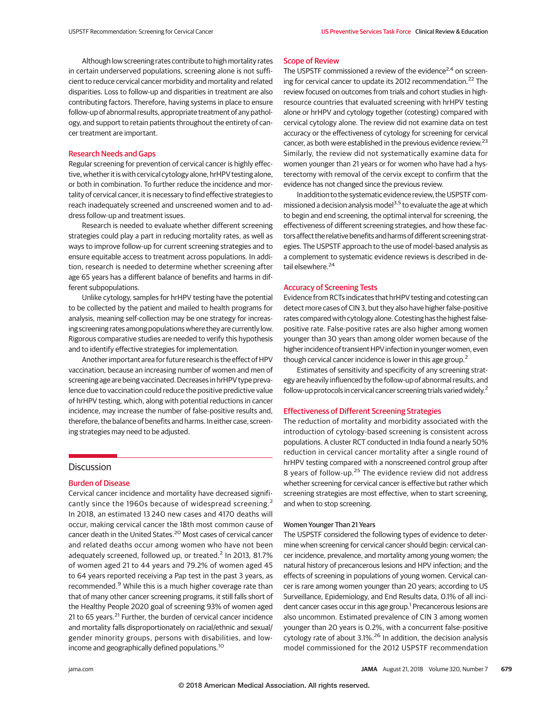Although low screening rates contribute to high mortality rates in certain underserved populations, screening alone is not sufficient to reduce cervical cancer morbidity and mortality and related disparities. Loss to follow-up and disparities in treatment are also contributing factors. Therefore, having systems in place to ensure follow-up of abnormal results, appropriate treatment of any pathology, and support to retain patients throughout the entirety of cancer treatment are important.

## Research Needs and Gaps

Regular screening for prevention of cervical cancer is highly effective, whether it is with cervical cytology alone, hrHPV testing alone, or both in combination. To further reduce the incidence and mortality of cervical cancer, it is necessary to find effective strategies to reach inadequately screened and unscreened women and to address follow-up and treatment issues.

Research is needed to evaluate whether different screening strategies could play a part in reducing mortality rates, as well as ways to improve follow-up for current screening strategies and to ensure equitable access to treatment across populations. In addition, research is needed to determine whether screening after age 65 years has a different balance of benefits and harms in different subpopulations.

Unlike cytology, samples for hrHPV testing have the potential to be collected by the patient and mailed to health programs for analysis, meaning self-collection may be one strategy for increasing screening rates among populations where they are currently low. Rigorous comparative studies are needed to verify this hypothesis and to identify effective strategies for implementation.

Another important area for future research is the effect of HPV vaccination, because an increasing number of women and men of screening age are being vaccinated. Decreases in hrHPV type prevalence due to vaccination could reduce the positive predictive value of hrHPV testing, which, along with potential reductions in cancer incidence, may increase the number of false-positive results and, therefore, the balance of benefits and harms. In either case, screening strategies may need to be adjusted.

# **Discussion**

## Burden of Disease

Cervical cancer incidence and mortality have decreased significantly since the 1960s because of widespread screening.<sup>2</sup> In 2018, an estimated 13 240 new cases and 4170 deaths will occur, making cervical cancer the 18th most common cause of cancer death in the United States.<sup>20</sup> Most cases of cervical cancer and related deaths occur among women who have not been adequately screened, followed up, or treated.<sup>2</sup> In 2013, 81.7% of women aged 21 to 44 years and 79.2% of women aged 45 to 64 years reported receiving a Pap test in the past 3 years, as recommended.<sup>9</sup> While this is a much higher coverage rate than that of many other cancer screening programs, it still falls short of the Healthy People 2020 goal of screening 93% of women aged 21 to 65 years.<sup>21</sup> Further, the burden of cervical cancer incidence and mortality falls disproportionately on racial/ethnic and sexual/ gender minority groups, persons with disabilities, and lowincome and geographically defined populations.<sup>10</sup>

#### Scope of Review

The USPSTF commissioned a review of the evidence<sup>2,4</sup> on screening for cervical cancer to update its 2012 recommendation.<sup>22</sup> The review focused on outcomes from trials and cohort studies in highresource countries that evaluated screening with hrHPV testing alone or hrHPV and cytology together (cotesting) compared with cervical cytology alone. The review did not examine data on test accuracy or the effectiveness of cytology for screening for cervical cancer, as both were established in the previous evidence review.<sup>23</sup> Similarly, the review did not systematically examine data for women younger than 21 years or for women who have had a hysterectomy with removal of the cervix except to confirm that the evidence has not changed since the previous review.

In addition to the systematic evidence review, the USPSTF commissioned a decision analysis model<sup>3,5</sup> to evaluate the age at which to begin and end screening, the optimal interval for screening, the effectiveness of different screening strategies, and how these factorsaffect the relative benefitsand harms of different screening strategies. The USPSTF approach to the use of model-based analysis as a complement to systematic evidence reviews is described in detail elsewhere.<sup>24</sup>

## Accuracy of Screening Tests

Evidence from RCTs indicates that hrHPV testing and cotesting can detect more cases of CIN 3, but they also have higher false-positive rates compared with cytology alone. Cotesting has the highest falsepositive rate. False-positive rates are also higher among women younger than 30 years than among older women because of the higher incidence of transient HPV infection in younger women, even though cervical cancer incidence is lower in this age group.<sup>2</sup>

Estimates of sensitivity and specificity of any screening strategy are heavily influenced by the follow-up of abnormal results, and follow-up protocols in cervical cancer screening trials varied widely.<sup>2</sup>

#### Effectiveness of Different Screening Strategies

The reduction of mortality and morbidity associated with the introduction of cytology-based screening is consistent across populations. A cluster RCT conducted in India found a nearly 50% reduction in cervical cancer mortality after a single round of hrHPV testing compared with a nonscreened control group after 8 years of follow-up.<sup>25</sup> The evidence review did not address whether screening for cervical cancer is effective but rather which screening strategies are most effective, when to start screening, and when to stop screening.

## Women Younger Than 21 Years

The USPSTF considered the following types of evidence to determine when screening for cervical cancer should begin: cervical cancer incidence, prevalence, and mortality among young women; the natural history of precancerous lesions and HPV infection; and the effects of screening in populations of young women. Cervical cancer is rare among women younger than 20 years; according to US Surveillance, Epidemiology, and End Results data, 0.1% of all incident cancer cases occur in this age group.<sup>1</sup> Precancerous lesions are also uncommon. Estimated prevalence of CIN 3 among women younger than 20 years is 0.2%, with a concurrent false-positive cytology rate of about 3.1%.<sup>26</sup> In addition, the decision analysis model commissioned for the 2012 USPSTF recommendation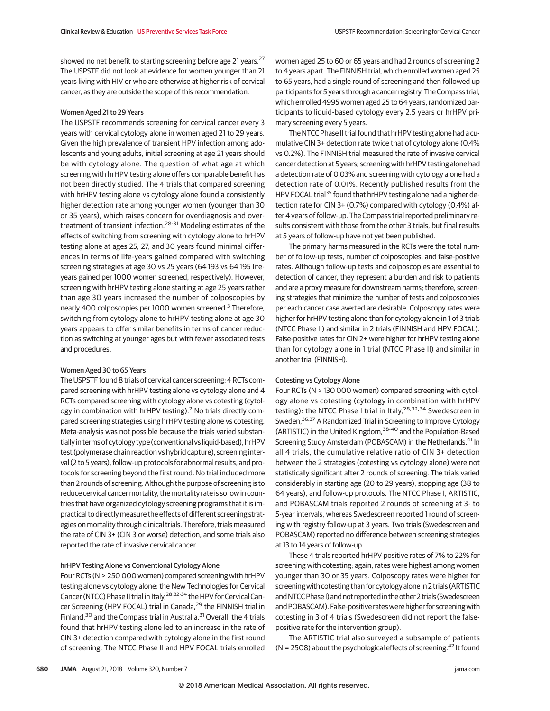showed no net benefit to starting screening before age 21 years.<sup>27</sup> The USPSTF did not look at evidence for women younger than 21 years living with HIV or who are otherwise at higher risk of cervical cancer, as they are outside the scope of this recommendation.

## Women Aged 21 to 29 Years

The USPSTF recommends screening for cervical cancer every 3 years with cervical cytology alone in women aged 21 to 29 years. Given the high prevalence of transient HPV infection among adolescents and young adults, initial screening at age 21 years should be with cytology alone. The question of what age at which screening with hrHPV testing alone offers comparable benefit has not been directly studied. The 4 trials that compared screening with hrHPV testing alone vs cytology alone found a consistently higher detection rate among younger women (younger than 30 or 35 years), which raises concern for overdiagnosis and overtreatment of transient infection.<sup>28-31</sup> Modeling estimates of the effects of switching from screening with cytology alone to hrHPV testing alone at ages 25, 27, and 30 years found minimal differences in terms of life-years gained compared with switching screening strategies at age 30 vs 25 years (64 193 vs 64 195 lifeyears gained per 1000 women screened, respectively). However, screening with hrHPV testing alone starting at age 25 years rather than age 30 years increased the number of colposcopies by nearly 400 colposcopies per 1000 women screened.<sup>3</sup> Therefore, switching from cytology alone to hrHPV testing alone at age 30 years appears to offer similar benefits in terms of cancer reduction as switching at younger ages but with fewer associated tests and procedures.

# Women Aged 30 to 65 Years

The USPSTF found 8 trials of cervical cancer screening; 4 RCTs compared screening with hrHPV testing alone vs cytology alone and 4 RCTs compared screening with cytology alone vs cotesting (cytology in combination with hrHPV testing).<sup>2</sup> No trials directly compared screening strategies using hrHPV testing alone vs cotesting. Meta-analysis was not possible because the trials varied substantially in terms of cytology type (conventional vs liquid-based), hrHPV test (polymerase chain reaction vs hybrid capture), screening interval (2 to 5 years), follow-up protocols for abnormal results, and protocols for screening beyond the first round. No trial included more than 2 rounds of screening. Although the purpose of screening is to reduce cervical cancer mortality, the mortality rate is so low in countries that have organized cytology screening programs that it is impractical to directly measure the effects of different screening strategies on mortality through clinical trials. Therefore, trials measured the rate of CIN 3+ (CIN 3 or worse) detection, and some trials also reported the rate of invasive cervical cancer.

#### hrHPV Testing Alone vs Conventional Cytology Alone

Four RCTs (N > 250 000 women) compared screening with hrHPV testing alone vs cytology alone: the New Technologies for Cervical Cancer (NTCC) Phase II trial in Italy, <sup>28,32-34</sup> the HPV for Cervical Cancer Screening (HPV FOCAL) trial in Canada,<sup>29</sup> the FINNISH trial in Finland,<sup>30</sup> and the Compass trial in Australia.<sup>31</sup> Overall, the 4 trials found that hrHPV testing alone led to an increase in the rate of CIN 3+ detection compared with cytology alone in the first round of screening. The NTCC Phase II and HPV FOCAL trials enrolled women aged 25 to 60 or 65 years and had 2 rounds of screening 2 to 4 years apart. The FINNISH trial, which enrolled women aged 25 to 65 years, had a single round of screening and then followed up participants for 5 years through a cancer registry. The Compass trial, which enrolled 4995 women aged 25 to 64 years, randomized participants to liquid-based cytology every 2.5 years or hrHPV primary screening every 5 years.

The NTCC Phase II trial found that hrHPV testing alone had a cumulative CIN 3+ detection rate twice that of cytology alone (0.4% vs 0.2%). The FINNISH trial measured the rate of invasive cervical cancer detection at 5 years; screening with hrHPV testing alone had a detection rate of 0.03% and screening with cytology alone had a detection rate of 0.01%. Recently published results from the HPV FOCAL trial<sup>35</sup> found that hrHPV testing alone had a higher detection rate for CIN 3+ (0.7%) compared with cytology (0.4%) after 4 years of follow-up. The Compass trial reported preliminary results consistent with those from the other 3 trials, but final results at 5 years of follow-up have not yet been published.

The primary harms measured in the RCTs were the total number of follow-up tests, number of colposcopies, and false-positive rates. Although follow-up tests and colposcopies are essential to detection of cancer, they represent a burden and risk to patients and are a proxy measure for downstream harms; therefore, screening strategies that minimize the number of tests and colposcopies per each cancer case averted are desirable. Colposcopy rates were higher for hrHPV testing alone than for cytology alone in 1 of 3 trials (NTCC Phase II) and similar in 2 trials (FINNISH and HPV FOCAL). False-positive rates for CIN 2+ were higher for hrHPV testing alone than for cytology alone in 1 trial (NTCC Phase II) and similar in another trial (FINNISH).

## Cotesting vs Cytology Alone

Four RCTs (N > 130 000 women) compared screening with cytology alone vs cotesting (cytology in combination with hrHPV testing): the NTCC Phase I trial in Italy,<sup>28,32,34</sup> Swedescreen in Sweden,<sup>36,37</sup> A Randomized Trial in Screening to Improve Cytology (ARTISTIC) in the United Kingdom,<sup>38-40</sup> and the Population-Based Screening Study Amsterdam (POBASCAM) in the Netherlands.<sup>41</sup> In all 4 trials, the cumulative relative ratio of CIN 3+ detection between the 2 strategies (cotesting vs cytology alone) were not statistically significant after 2 rounds of screening. The trials varied considerably in starting age (20 to 29 years), stopping age (38 to 64 years), and follow-up protocols. The NTCC Phase I, ARTISTIC, and POBASCAM trials reported 2 rounds of screening at 3- to 5-year intervals, whereas Swedescreen reported 1 round of screening with registry follow-up at 3 years. Two trials (Swedescreen and POBASCAM) reported no difference between screening strategies at 13 to 14 years of follow-up.

These 4 trials reported hrHPV positive rates of 7% to 22% for screening with cotesting; again, rates were highest among women younger than 30 or 35 years. Colposcopy rates were higher for screening with cotesting than for cytology alone in 2 trials (ARTISTIC and NTCC Phase I) and not reported in the other 2 trials (Swedescreen and POBASCAM). False-positive rates were higher for screening with cotesting in 3 of 4 trials (Swedescreen did not report the falsepositive rate for the intervention group).

The ARTISTIC trial also surveyed a subsample of patients (N = 2508) about the psychological effects of screening.<sup>42</sup> It found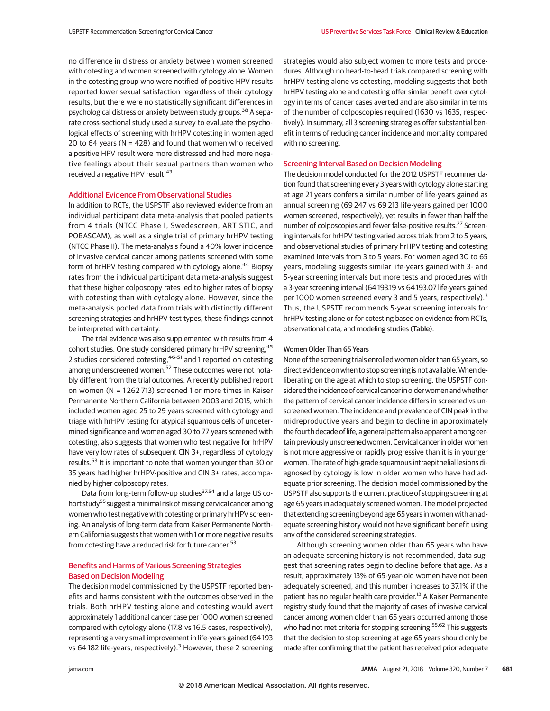no difference in distress or anxiety between women screened with cotesting and women screened with cytology alone. Women in the cotesting group who were notified of positive HPV results reported lower sexual satisfaction regardless of their cytology results, but there were no statistically significant differences in psychological distress or anxiety between study groups.<sup>38</sup> A separate cross-sectional study used a survey to evaluate the psychological effects of screening with hrHPV cotesting in women aged 20 to 64 years (N = 428) and found that women who received a positive HPV result were more distressed and had more negative feelings about their sexual partners than women who received a negative HPV result.<sup>43</sup>

# Additional Evidence From Observational Studies

In addition to RCTs, the USPSTF also reviewed evidence from an individual participant data meta-analysis that pooled patients from 4 trials (NTCC Phase I, Swedescreen, ARTISTIC, and POBASCAM), as well as a single trial of primary hrHPV testing (NTCC Phase II). The meta-analysis found a 40% lower incidence of invasive cervical cancer among patients screened with some form of hrHPV testing compared with cytology alone.<sup>44</sup> Biopsy rates from the individual participant data meta-analysis suggest that these higher colposcopy rates led to higher rates of biopsy with cotesting than with cytology alone. However, since the meta-analysis pooled data from trials with distinctly different screening strategies and hrHPV test types, these findings cannot be interpreted with certainty.

The trial evidence was also supplemented with results from 4 cohort studies. One study considered primary hrHPV screening, <sup>45</sup> 2 studies considered cotesting,<sup>46-51</sup> and 1 reported on cotesting among underscreened women.<sup>52</sup> These outcomes were not notably different from the trial outcomes. A recently published report on women (N = 1 262 713) screened 1 or more times in Kaiser Permanente Northern California between 2003 and 2015, which included women aged 25 to 29 years screened with cytology and triage with hrHPV testing for atypical squamous cells of undetermined significance and women aged 30 to 77 years screened with cotesting, also suggests that women who test negative for hrHPV have very low rates of subsequent CIN 3+, regardless of cytology results.<sup>53</sup> It is important to note that women younger than 30 or 35 years had higher hrHPV-positive and CIN 3+ rates, accompanied by higher colposcopy rates.

Data from long-term follow-up studies<sup>37,54</sup> and a large US cohort study<sup>55</sup> suggest a minimal risk of missing cervical cancer among women who test negative with cotesting or primary hrHPV screening. An analysis of long-term data from Kaiser Permanente Northern California suggests that women with 1 or more negative results from cotesting have a reduced risk for future cancer.<sup>53</sup>

# Benefits and Harms of Various Screening Strategies Based on Decision Modeling

The decision model commissioned by the USPSTF reported benefits and harms consistent with the outcomes observed in the trials. Both hrHPV testing alone and cotesting would avert approximately 1 additional cancer case per 1000 women screened compared with cytology alone (17.8 vs 16.5 cases, respectively), representing a very small improvement in life-years gained (64 193 vs 64 182 life-years, respectively).<sup>3</sup> However, these 2 screening strategies would also subject women to more tests and procedures. Although no head-to-head trials compared screening with hrHPV testing alone vs cotesting, modeling suggests that both hrHPV testing alone and cotesting offer similar benefit over cytology in terms of cancer cases averted and are also similar in terms of the number of colposcopies required (1630 vs 1635, respectively). In summary, all 3 screening strategies offer substantial benefit in terms of reducing cancer incidence and mortality compared with no screening.

## Screening Interval Based on Decision Modeling

The decision model conducted for the 2012 USPSTF recommendation found that screening every 3 years with cytology alone starting at age 21 years confers a similar number of life-years gained as annual screening (69 247 vs 69 213 life-years gained per 1000 women screened, respectively), yet results in fewer than half the number of colposcopies and fewer false-positive results.<sup>27</sup> Screening intervals for hrHPV testing varied across trials from 2 to 5 years, and observational studies of primary hrHPV testing and cotesting examined intervals from 3 to 5 years. For women aged 30 to 65 years, modeling suggests similar life-years gained with 3- and 5-year screening intervals but more tests and procedures with a 3-year screening interval (64 193.19 vs 64 193.07 life-years gained per 1000 women screened every 3 and 5 years, respectively).<sup>3</sup> Thus, the USPSTF recommends 5-year screening intervals for hrHPV testing alone or for cotesting based on evidence from RCTs, observational data, and modeling studies (Table).

# Women Older Than 65 Years

None of the screening trials enrolled women older than 65 years, so direct evidence on when to stop screening is not available.When deliberating on the age at which to stop screening, the USPSTF considered the incidence of cervical cancer in older women and whether the pattern of cervical cancer incidence differs in screened vs unscreened women. The incidence and prevalence of CIN peak in the midreproductive years and begin to decline in approximately the fourth decade of life, a general pattern also apparent among certain previously unscreened women. Cervical cancer in older women is not more aggressive or rapidly progressive than it is in younger women. The rate of high-grade squamous intraepithelial lesions diagnosed by cytology is low in older women who have had adequate prior screening. The decision model commissioned by the USPSTF also supports the current practice of stopping screening at age 65 years in adequately screened women. The model projected that extending screening beyond age 65 years in women with an adequate screening history would not have significant benefit using any of the considered screening strategies.

Although screening women older than 65 years who have an adequate screening history is not recommended, data suggest that screening rates begin to decline before that age. As a result, approximately 13% of 65-year-old women have not been adequately screened, and this number increases to 37.1% if the patient has no regular health care provider.<sup>13</sup> A Kaiser Permanente registry study found that the majority of cases of invasive cervical cancer among women older than 65 years occurred among those who had not met criteria for stopping screening.<sup>55,62</sup> This suggests that the decision to stop screening at age 65 years should only be made after confirming that the patient has received prior adequate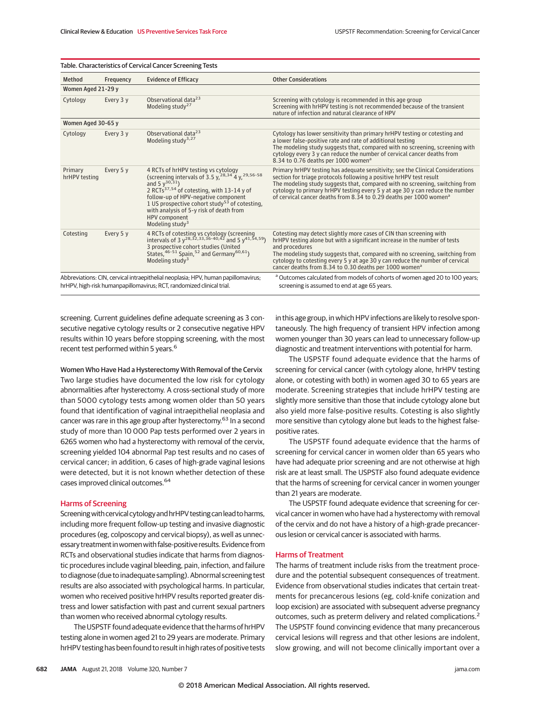| Table. Characteristics of Cervical Cancer Screening Tests                                                                                                   |           |                                                                                                                                                                                                                                                                                                                                                                                                  |                                                                                                                                                                                                                                                                                                                                                                                                            |  |  |
|-------------------------------------------------------------------------------------------------------------------------------------------------------------|-----------|--------------------------------------------------------------------------------------------------------------------------------------------------------------------------------------------------------------------------------------------------------------------------------------------------------------------------------------------------------------------------------------------------|------------------------------------------------------------------------------------------------------------------------------------------------------------------------------------------------------------------------------------------------------------------------------------------------------------------------------------------------------------------------------------------------------------|--|--|
| Method                                                                                                                                                      | Frequency | <b>Evidence of Efficacy</b>                                                                                                                                                                                                                                                                                                                                                                      | <b>Other Considerations</b>                                                                                                                                                                                                                                                                                                                                                                                |  |  |
| Women Aged 21-29 y                                                                                                                                          |           |                                                                                                                                                                                                                                                                                                                                                                                                  |                                                                                                                                                                                                                                                                                                                                                                                                            |  |  |
| Cytology                                                                                                                                                    | Every 3 y | Observational data <sup>23</sup><br>Modeling study <sup>27</sup>                                                                                                                                                                                                                                                                                                                                 | Screening with cytology is recommended in this age group<br>Screening with hrHPV testing is not recommended because of the transient<br>nature of infection and natural clearance of HPV                                                                                                                                                                                                                   |  |  |
| Women Aged 30-65 v                                                                                                                                          |           |                                                                                                                                                                                                                                                                                                                                                                                                  |                                                                                                                                                                                                                                                                                                                                                                                                            |  |  |
| Cytology                                                                                                                                                    | Every 3 y | Observational data <sup>23</sup><br>Modeling study <sup>3,27</sup>                                                                                                                                                                                                                                                                                                                               | Cytology has lower sensitivity than primary hrHPV testing or cotesting and<br>a lower false-positive rate and rate of additional testing<br>The modeling study suggests that, compared with no screening, screening with<br>cytology every 3 y can reduce the number of cervical cancer deaths from<br>8.34 to 0.76 deaths per 1000 women <sup>a</sup>                                                     |  |  |
| Primary<br>hrHPV testing                                                                                                                                    | Every 5 y | 4 RCTs of hrHPV testing vs cytology<br>(screening intervals of 3.5 y, <sup>28, 34</sup> 4 y, <sup>29, 56-58</sup><br>and 5 $y^{30,31}$ )<br>2 RCTs <sup>37,54</sup> of cotesting, with 13-14 y of<br>follow-up of HPV-negative component<br>1 US prospective cohort study <sup>53</sup> of cotesting,<br>with analysis of 5-y risk of death from<br>HPV component<br>Modeling study <sup>3</sup> | Primary hrHPV testing has adequate sensitivity; see the Clinical Considerations<br>section for triage protocols following a positive hrHPV test result<br>The modeling study suggests that, compared with no screening, switching from<br>cytology to primary hrHPV testing every 5 y at age 30 y can reduce the number<br>of cervical cancer deaths from 8.34 to 0.29 deaths per 1000 women <sup>a</sup>  |  |  |
| Cotesting                                                                                                                                                   | Every 5 y | 4 RCTs of cotesting vs cytology (screening<br>intervals of 3 $y^{28,32,33,36-40,42}$ and 5 $y^{41,54,59}$ )<br>3 prospective cohort studies (United<br>States, 46-51 Spain, 52 and Germany <sup>60,61</sup> )<br>Modeling study <sup>3</sup>                                                                                                                                                     | Cotesting may detect slightly more cases of CIN than screening with<br>hrHPV testing alone but with a significant increase in the number of tests<br>and procedures<br>The modeling study suggests that, compared with no screening, switching from<br>cytology to cotesting every 5 y at age 30 y can reduce the number of cervical<br>cancer deaths from 8.34 to 0.30 deaths per 1000 women <sup>a</sup> |  |  |
| Abbreviations: CIN, cervical intraepithelial neoplasia; HPV, human papillomavirus;<br>hrHPV, high-risk humanpapillomavirus; RCT, randomized clinical trial. |           |                                                                                                                                                                                                                                                                                                                                                                                                  | <sup>a</sup> Outcomes calculated from models of cohorts of women aged 20 to 100 years;<br>screening is assumed to end at age 65 years.                                                                                                                                                                                                                                                                     |  |  |

screening. Current guidelines define adequate screening as 3 consecutive negative cytology results or 2 consecutive negative HPV results within 10 years before stopping screening, with the most recent test performed within 5 years.<sup>6</sup>

Women Who Have Had a Hysterectomy With Removal of the Cervix Two large studies have documented the low risk for cytology abnormalities after hysterectomy. A cross-sectional study of more than 5000 cytology tests among women older than 50 years found that identification of vaginal intraepithelial neoplasia and cancer was rare in this age group after hysterectomy.<sup>63</sup> In a second study of more than 10 000 Pap tests performed over 2 years in 6265 women who had a hysterectomy with removal of the cervix, screening yielded 104 abnormal Pap test results and no cases of cervical cancer; in addition, 6 cases of high-grade vaginal lesions were detected, but it is not known whether detection of these cases improved clinical outcomes.<sup>64</sup>

## Harms of Screening

Screening with cervical cytology and hrHPV testing can lead to harms, including more frequent follow-up testing and invasive diagnostic procedures (eg, colposcopy and cervical biopsy), as well as unnecessary treatment inwomenwith false-positive results. Evidence from RCTs and observational studies indicate that harms from diagnostic procedures include vaginal bleeding, pain, infection, and failure to diagnose (due to inadequate sampling). Abnormal screening test results are also associated with psychological harms. In particular, women who received positive hrHPV results reported greater distress and lower satisfaction with past and current sexual partners than women who received abnormal cytology results.

The USPSTF found adequate evidence that the harms of hrHPV testing alone in women aged 21 to 29 years are moderate. Primary hrHPV testing has been found to result in high rates of positive tests in this age group, in which HPV infections are likely to resolve spontaneously. The high frequency of transient HPV infection among women younger than 30 years can lead to unnecessary follow-up diagnostic and treatment interventions with potential for harm.

The USPSTF found adequate evidence that the harms of screening for cervical cancer (with cytology alone, hrHPV testing alone, or cotesting with both) in women aged 30 to 65 years are moderate. Screening strategies that include hrHPV testing are slightly more sensitive than those that include cytology alone but also yield more false-positive results. Cotesting is also slightly more sensitive than cytology alone but leads to the highest falsepositive rates.

The USPSTF found adequate evidence that the harms of screening for cervical cancer in women older than 65 years who have had adequate prior screening and are not otherwise at high risk are at least small. The USPSTF also found adequate evidence that the harms of screening for cervical cancer in women younger than 21 years are moderate.

The USPSTF found adequate evidence that screening for cervical cancer in women who have had a hysterectomy with removal of the cervix and do not have a history of a high-grade precancerous lesion or cervical cancer is associated with harms.

## Harms of Treatment

The harms of treatment include risks from the treatment procedure and the potential subsequent consequences of treatment. Evidence from observational studies indicates that certain treatments for precancerous lesions (eg, cold-knife conization and loop excision) are associated with subsequent adverse pregnancy outcomes, such as preterm delivery and related complications.<sup>2</sup> The USPSTF found convincing evidence that many precancerous cervical lesions will regress and that other lesions are indolent, slow growing, and will not become clinically important over a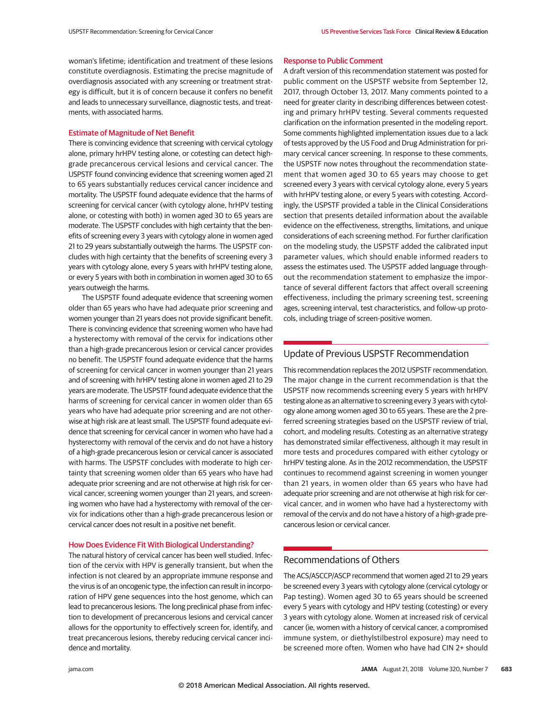woman's lifetime; identification and treatment of these lesions constitute overdiagnosis. Estimating the precise magnitude of overdiagnosis associated with any screening or treatment strategy is difficult, but it is of concern because it confers no benefit and leads to unnecessary surveillance, diagnostic tests, and treatments, with associated harms.

## Estimate of Magnitude of Net Benefit

There is convincing evidence that screening with cervical cytology alone, primary hrHPV testing alone, or cotesting can detect highgrade precancerous cervical lesions and cervical cancer. The USPSTF found convincing evidence that screening women aged 21 to 65 years substantially reduces cervical cancer incidence and mortality. The USPSTF found adequate evidence that the harms of screening for cervical cancer (with cytology alone, hrHPV testing alone, or cotesting with both) in women aged 30 to 65 years are moderate. The USPSTF concludes with high certainty that the benefits of screening every 3 years with cytology alone in women aged 21 to 29 years substantially outweigh the harms. The USPSTF concludes with high certainty that the benefits of screening every 3 years with cytology alone, every 5 years with hrHPV testing alone, or every 5 years with both in combination in women aged 30 to 65 years outweigh the harms.

The USPSTF found adequate evidence that screening women older than 65 years who have had adequate prior screening and women younger than 21 years does not provide significant benefit. There is convincing evidence that screening women who have had a hysterectomy with removal of the cervix for indications other than a high-grade precancerous lesion or cervical cancer provides no benefit. The USPSTF found adequate evidence that the harms of screening for cervical cancer in women younger than 21 years and of screening with hrHPV testing alone in women aged 21 to 29 years are moderate. The USPSTF found adequate evidence that the harms of screening for cervical cancer in women older than 65 years who have had adequate prior screening and are not otherwise at high risk are at least small. The USPSTF found adequate evidence that screening for cervical cancer in women who have had a hysterectomy with removal of the cervix and do not have a history of a high-grade precancerous lesion or cervical cancer is associated with harms. The USPSTF concludes with moderate to high certainty that screening women older than 65 years who have had adequate prior screening and are not otherwise at high risk for cervical cancer, screening women younger than 21 years, and screening women who have had a hysterectomy with removal of the cervix for indications other than a high-grade precancerous lesion or cervical cancer does not result in a positive net benefit.

## How Does Evidence Fit With Biological Understanding?

The natural history of cervical cancer has been well studied. Infection of the cervix with HPV is generally transient, but when the infection is not cleared by an appropriate immune response and the virus is of an oncogenic type, the infection can result in incorporation of HPV gene sequences into the host genome, which can lead to precancerous lesions. The long preclinical phase from infection to development of precancerous lesions and cervical cancer allows for the opportunity to effectively screen for, identify, and treat precancerous lesions, thereby reducing cervical cancer incidence and mortality.

#### Response to Public Comment

A draft version of this recommendation statement was posted for public comment on the USPSTF website from September 12, 2017, through October 13, 2017. Many comments pointed to a need for greater clarity in describing differences between cotesting and primary hrHPV testing. Several comments requested clarification on the information presented in the modeling report. Some comments highlighted implementation issues due to a lack of tests approved by the US Food and Drug Administration for primary cervical cancer screening. In response to these comments, the USPSTF now notes throughout the recommendation statement that women aged 30 to 65 years may choose to get screened every 3 years with cervical cytology alone, every 5 years with hrHPV testing alone, or every 5 years with cotesting. Accordingly, the USPSTF provided a table in the Clinical Considerations section that presents detailed information about the available evidence on the effectiveness, strengths, limitations, and unique considerations of each screening method. For further clarification on the modeling study, the USPSTF added the calibrated input parameter values, which should enable informed readers to assess the estimates used. The USPSTF added language throughout the recommendation statement to emphasize the importance of several different factors that affect overall screening effectiveness, including the primary screening test, screening ages, screening interval, test characteristics, and follow-up protocols, including triage of screen-positive women.

# Update of Previous USPSTF Recommendation

This recommendation replaces the 2012 USPSTF recommendation. The major change in the current recommendation is that the USPSTF now recommends screening every 5 years with hrHPV testing alone as an alternative to screening every 3 years with cytology alone among women aged 30 to 65 years. These are the 2 preferred screening strategies based on the USPSTF review of trial, cohort, and modeling results. Cotesting as an alternative strategy has demonstrated similar effectiveness, although it may result in more tests and procedures compared with either cytology or hrHPV testing alone. As in the 2012 recommendation, the USPSTF continues to recommend against screening in women younger than 21 years, in women older than 65 years who have had adequate prior screening and are not otherwise at high risk for cervical cancer, and in women who have had a hysterectomy with removal of the cervix and do not have a history of a high-grade precancerous lesion or cervical cancer.

# Recommendations of Others

The ACS/ASCCP/ASCP recommend that women aged 21 to 29 years be screened every 3 years with cytology alone (cervical cytology or Pap testing). Women aged 30 to 65 years should be screened every 5 years with cytology and HPV testing (cotesting) or every 3 years with cytology alone. Women at increased risk of cervical cancer (ie, women with a history of cervical cancer, a compromised immune system, or diethylstilbestrol exposure) may need to be screened more often. Women who have had CIN 2+ should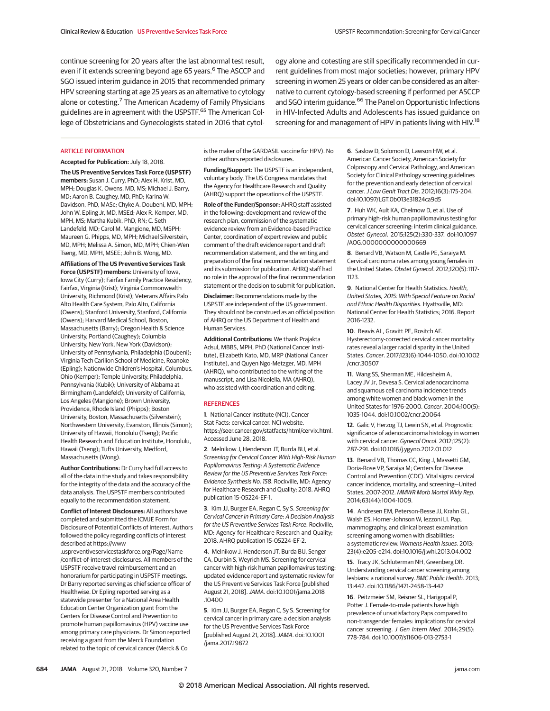continue screening for 20 years after the last abnormal test result, even if it extends screening beyond age 65 years.<sup>6</sup> The ASCCP and SGO issued interim guidance in 2015 that recommended primary HPV screening starting at age 25 years as an alternative to cytology alone or cotesting.<sup>7</sup> The American Academy of Family Physicians guidelines are in agreement with the USPSTF.<sup>65</sup> The American College of Obstetricians and Gynecologists stated in 2016 that cytology alone and cotesting are still specifically recommended in current guidelines from most major societies; however, primary HPV screening in women 25 years or older can be considered as an alternative to current cytology-based screening if performed per ASCCP and SGO interim guidance.<sup>66</sup> The Panel on Opportunistic Infections in HIV-Infected Adults and Adolescents has issued guidance on screening for and management of HPV in patients living with HIV.<sup>18</sup>

#### ARTICLE INFORMATION

**Accepted for Publication:** July 18, 2018.

**The US Preventive Services Task Force (USPSTF) members:** Susan J. Curry, PhD; Alex H. Krist, MD, MPH; Douglas K. Owens, MD, MS; Michael J. Barry, MD; Aaron B. Caughey, MD, PhD; Karina W. Davidson, PhD, MASc; Chyke A. Doubeni, MD, MPH; John W. Epling Jr, MD, MSEd; Alex R. Kemper, MD, MPH, MS; Martha Kubik, PhD, RN; C. Seth Landefeld, MD; Carol M. Mangione, MD, MSPH; Maureen G. Phipps, MD, MPH; Michael Silverstein, MD, MPH; Melissa A. Simon, MD, MPH; Chien-Wen Tseng, MD, MPH, MSEE; John B. Wong, MD.

**Affiliations of The US Preventive Services Task Force (USPSTF) members:** University of Iowa, Iowa City (Curry); Fairfax Family Practice Residency, Fairfax, Virginia (Krist); Virginia Commonwealth University, Richmond (Krist); Veterans Affairs Palo Alto Health Care System, Palo Alto, California (Owens); Stanford University, Stanford, California (Owens); Harvard Medical School, Boston, Massachusetts (Barry); Oregon Health & Science University, Portland (Caughey); Columbia University, New York, New York (Davidson); University of Pennsylvania, Philadelphia (Doubeni); Virginia Tech Carilion School of Medicine, Roanoke (Epling); Nationwide Children's Hospital, Columbus, Ohio (Kemper); Temple University, Philadelphia, Pennsylvania (Kubik); University of Alabama at Birmingham (Landefeld); University of California, Los Angeles (Mangione); Brown University, Providence, Rhode Island (Phipps); Boston University, Boston, Massachusetts (Silverstein); Northwestern University, Evanston, Illinois (Simon); University of Hawaii, Honolulu (Tseng); Pacific Health Research and Education Institute, Honolulu, Hawaii (Tseng); Tufts University, Medford, Massachusetts (Wong).

**Author Contributions:** Dr Curry had full access to all of the data in the study and takes responsibility for the integrity of the data and the accuracy of the data analysis. The USPSTF members contributed equally to the recommendation statement.

**Conflict of Interest Disclosures:** All authors have completed and submitted the ICMJE Form for Disclosure of Potential Conflicts of Interest. Authors followed the policy regarding conflicts of interest described at https://www

.uspreventiveservicestaskforce.org/Page/Name /conflict-of-interest-disclosures. All members of the USPSTF receive travel reimbursement and an honorarium for participating in USPSTF meetings. Dr Barry reported serving as chief science officer of Healthwise. Dr Epling reported serving as a statewide presenter for a National Area Health Education Center Organization grant from the Centers for Disease Control and Prevention to promote human papillomavirus (HPV) vaccine use among primary care physicians. Dr Simon reported receiving a grant from the Merck Foundation related to the topic of cervical cancer (Merck & Co

is the maker of the GARDASIL vaccine for HPV). No other authors reported disclosures.

**Funding/Support:** The USPSTF is an independent, voluntary body. The US Congress mandates that the Agency for Healthcare Research and Quality (AHRQ) support the operations of the USPSTF.

**Role of the Funder/Sponsor:** AHRQ staff assisted in the following: development and review of the research plan, commission of the systematic evidence review from an Evidence-based Practice Center, coordination of expert review and public comment of the draft evidence report and draft recommendation statement, and the writing and preparation of the final recommendation statement and its submission for publication. AHRQ staff had no role in the approval of the final recommendation statement or the decision to submit for publication.

**Disclaimer:** Recommendations made by the USPSTF are independent of the US government. They should not be construed as an official position of AHRQ or the US Department of Health and Human Services.

**Additional Contributions:** We thank Prajakta Adsul, MBBS, MPH, PhD (National Cancer Institute), Elizabeth Kato, MD, MRP (National Cancer Institute), and Quyen Ngo-Metzger, MD, MPH (AHRQ), who contributed to the writing of the manuscript, and Lisa Nicolella, MA (AHRQ), who assisted with coordination and editing.

## **REFERENCES**

**1**. National Cancer Institute (NCI). Cancer Stat Facts: cervical cancer. NCI website. https://seer.cancer.gov/statfacts/html/cervix.html. Accessed June 28, 2018.

**2**. Melnikow J, Henderson JT, Burda BU, et al. Screening for Cervical Cancer With High-Risk Human Papillomavirus Testing: A Systematic Evidence Review for the US Preventive Services Task Force: Evidence Synthesis No. 158. Rockville, MD: Agency for Healthcare Research and Quality; 2018. AHRQ publication 15-05224-EF-1.

**3**. Kim JJ, Burger EA, Regan C, Sy S. Screening for Cervical Cancer in Primary Care: A Decision Analysis for the US Preventive Services Task Force. Rockville, MD: Agency for Healthcare Research and Quality; 2018. AHRQ publication 15-05224-EF-2.

**4**. Melnikow J, Henderson JT, Burda BU, Senger CA, Durbin S, Weyrich MS. Screening for cervical cancer with high-risk human papillomavirus testing: updated evidence report and systematic review for the US Preventive Services Task Force [published August 21, 2018].JAMA. doi:10.1001/jama.2018 .10400

**5**. Kim JJ, Burger EA, Regan C, Sy S. Screening for cervical cancer in primary care: a decision analysis for the US Preventive Services Task Force [published August 21, 2018].JAMA. doi:10.1001 /jama.2017.19872

**6**. Saslow D, Solomon D, Lawson HW, et al. American Cancer Society, American Society for Colposcopy and Cervical Pathology, and American Society for Clinical Pathology screening guidelines for the prevention and early detection of cervical cancer.J Low Genit Tract Dis. 2012;16(3):175-204. doi:10.1097/LGT.0b013e31824ca9d5

**7**. Huh WK, Ault KA, Chelmow D, et al. Use of primary high-risk human papillomavirus testing for cervical cancer screening: interim clinical guidance. Obstet Gynecol. 2015;125(2):330-337. doi:10.1097 /AOG.0000000000000669

**8**. Benard VB, Watson M, Castle PE, Saraiya M. Cervical carcinoma rates among young females in the United States. Obstet Gynecol. 2012;120(5):1117- 1123.

**9**. National Center for Health Statistics. Health, United States, 2015: With Special Feature on Racial and Ethnic Health Disparities. Hyattsville, MD: National Center for Health Statistics; 2016. Report 2016-1232.

**10**. Beavis AL, Gravitt PE, Rositch AF. Hysterectomy-corrected cervical cancer mortality rates reveal a larger racial disparity in the United States. Cancer. 2017;123(6):1044-1050. doi:10.1002 /cncr.30507

**11**. Wang SS, Sherman ME, Hildesheim A, Lacey JV Jr, Devesa S. Cervical adenocarcinoma and squamous cell carcinoma incidence trends among white women and black women in the United States for 1976-2000. Cancer. 2004;100(5): 1035-1044. doi:10.1002/cncr.20064

**12**. Galic V, Herzog TJ, Lewin SN, et al. Prognostic significance of adenocarcinoma histology in women with cervical cancer. Gynecol Oncol. 2012;125(2): 287-291. doi:10.1016/j.ygyno.2012.01.012

**13**. Benard VB, Thomas CC, King J, Massetti GM, Doria-Rose VP, Saraiya M; Centers for Disease Control and Prevention (CDC). Vital signs: cervical cancer incidence, mortality, and screening—United States, 2007-2012. MMWR Morb Mortal Wkly Rep. 2014;63(44):1004-1009.

**14**. Andresen EM, Peterson-Besse JJ, Krahn GL, Walsh ES, Horner-Johnson W, Iezzoni LI. Pap, mammography, and clinical breast examination screening among women with disabilities: a systematic review. Womens Health Issues. 2013; 23(4):e205-e214. doi:10.1016/j.whi.2013.04.002

**15**. Tracy JK, Schluterman NH, Greenberg DR. Understanding cervical cancer screening among lesbians: a national survey. BMC Public Health. 2013; 13:442. doi:10.1186/1471-2458-13-442

**16**. Peitzmeier SM, Reisner SL, Harigopal P, Potter J. Female-to-male patients have high prevalence of unsatisfactory Paps compared to non-transgender females: implications for cervical cancer screening. J Gen Intern Med. 2014;29(5): 778-784. doi:10.1007/s11606-013-2753-1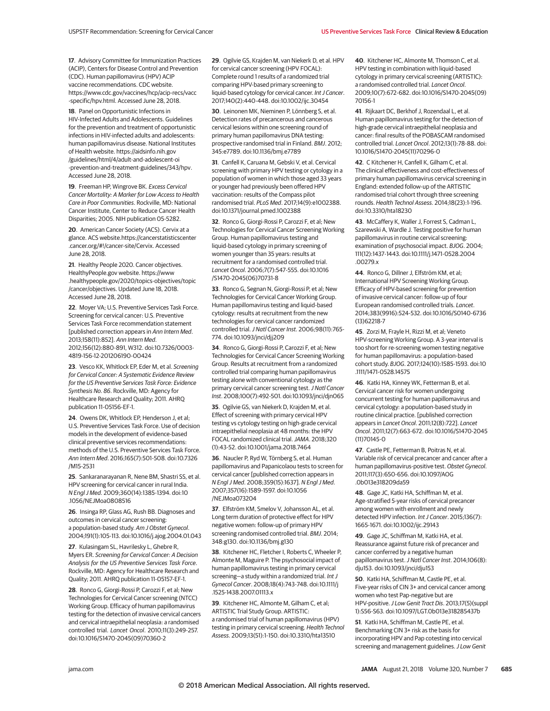**17**. Advisory Committee for Immunization Practices (ACIP), Centers for Disease Control and Prevention (CDC). Human papillomavirus (HPV) ACIP vaccine recommendations. CDC website. https://www.cdc.gov/vaccines/hcp/acip-recs/vacc -specific/hpv.html. Accessed June 28, 2018.

**18**. Panel on Opportunistic Infections in HIV-Infected Adults and Adolescents. Guidelines for the prevention and treatment of opportunistic infections in HIV-infected adults and adolescents: human papillomavirus disease. National Institutes of Health website. https://aidsinfo.nih.gov /guidelines/html/4/adult-and-adolescent-oi -prevention-and-treatment-guidelines/343/hpv. Accessed June 28, 2018.

**19**. Freeman HP, Wingrove BK. Excess Cervical Cancer Mortality: A Marker for Low Access to Health Care in Poor Communities. Rockville, MD: National Cancer Institute, Center to Reduce Cancer Health Disparities; 2005. NIH publication 05-5282.

**20**. American Cancer Society (ACS). Cervix at a glance. ACS website.https://cancerstatisticscenter .cancer.org/#!/cancer-site/Cervix. Accessed June 28, 2018.

**21**. Healthy People 2020. Cancer objectives. HealthyPeople.gov website. https://www .healthypeople.gov/2020/topics-objectives/topic /cancer/objectives. Updated June 18, 2018. Accessed June 28, 2018.

**22**. Moyer VA; U.S. Preventive Services Task Force. Screening for cervical cancer: U.S. Preventive Services Task Force recommendation statement [published correction appears in Ann Intern Med. 2013;158(11):852]. Ann Intern Med. 2012;156(12):880-891, W312. doi:10.7326/0003- 4819-156-12-201206190-00424

**23**. Vesco KK, Whitlock EP, Eder M, et al. Screening for Cervical Cancer: A Systematic Evidence Review for the US Preventive Services Task Force: Evidence Synthesis No. 86. Rockville, MD: Agency for Healthcare Research and Quality; 2011. AHRQ publication 11-05156-EF-1.

**24**. Owens DK, Whitlock EP, Henderson J, et al; U.S. Preventive Services Task Force. Use of decision models in the development of evidence-based clinical preventive services recommendations: methods of the U.S. Preventive Services Task Force. Ann Intern Med. 2016;165(7):501-508. doi:10.7326 /M15-2531

**25**. Sankaranarayanan R, Nene BM, Shastri SS, et al. HPV screening for cervical cancer in rural India. N Engl J Med. 2009;360(14):1385-1394. doi:10 .1056/NEJMoa0808516

**26**. Insinga RP, Glass AG, Rush BB. Diagnoses and outcomes in cervical cancer screening: a population-based study. Am J Obstet Gynecol. 2004;191(1):105-113. doi:10.1016/j.ajog.2004.01.043

**27**. Kulasingam SL, Havrilesky L, Ghebre R, Myers ER. Screening for Cervical Cancer: A Decision Analysis for the US Preventive Services Task Force. Rockville, MD: Agency for Healthcare Research and Quality; 2011. AHRQ publication 11-05157-EF-1.

**28**. Ronco G, Giorgi-Rossi P, Carozzi F, et al; New Technologies for Cervical Cancer screening (NTCC) Working Group. Efficacy of human papillomavirus testing for the detection of invasive cervical cancers and cervical intraepithelial neoplasia: a randomised controlled trial. Lancet Oncol. 2010;11(3):249-257. doi:10.1016/S1470-2045(09)70360-2

**29**. Ogilvie GS, Krajden M, van Niekerk D, et al. HPV for cervical cancer screening (HPV FOCAL): Complete round 1 results of a randomized trial comparing HPV-based primary screening to liquid-based cytology for cervical cancer. Int J Cancer. 2017;140(2):440-448. doi:10.1002/ijc.30454

**30**. Leinonen MK, Nieminen P, Lönnberg S, et al. Detection rates of precancerous and cancerous cervical lesions within one screening round of primary human papillomavirus DNA testing: prospective randomised trial in Finland. BMJ. 2012; 345:e7789. doi:10.1136/bmj.e7789

**31**. Canfell K, Caruana M, Gebski V, et al. Cervical screening with primary HPV testing or cytology in a population of women in which those aged 33 years or younger had previously been offered HPV vaccination: results of the Compass pilot randomised trial. PLoS Med. 2017;14(9):e1002388. doi:10.1371/journal.pmed.1002388

**32**. Ronco G, Giorgi-Rossi P, Carozzi F, et al; New Technologies for Cervical Cancer Screening Working Group. Human papillomavirus testing and liquid-based cytology in primary screening of women younger than 35 years: results at recruitment for a randomised controlled trial. Lancet Oncol. 2006;7(7):547-555. doi:10.1016 /S1470-2045(06)70731-8

**33**. Ronco G, Segnan N, Giorgi-Rossi P, et al; New Technologies for Cervical Cancer Working Group. Human papillomavirus testing and liquid-based cytology: results at recruitment from the new technologies for cervical cancer randomized controlled trial.J Natl Cancer Inst. 2006;98(11):765- 774. doi:10.1093/jnci/djj209

**34**. Ronco G, Giorgi-Rossi P, Carozzi F, et al; New Technologies for Cervical Cancer Screening Working Group. Results at recruitment from a randomized controlled trial comparing human papillomavirus testing alone with conventional cytology as the primary cervical cancer screening test. J Natl Cancer Inst. 2008;100(7):492-501. doi:10.1093/jnci/djn065

**35**. Ogilvie GS, van Niekerk D, Krajden M, et al. Effect of screening with primary cervical HPV testing vs cytology testing on high-grade cervical intraepithelial neoplasia at 48 months: the HPV FOCAL randomized clinical trial.JAMA. 2018;320 (1):43-52. doi:10.1001/jama.2018.7464

**36**. Naucler P, Ryd W, Törnberg S, et al. Human papillomavirus and Papanicolaou tests to screen for cervical cancer [published correction appears in N Engl J Med. 2008;359(15):1637]. N Engl J Med. 2007;357(16):1589-1597. doi:10.1056 /NEJMoa073204

**37**. Elfström KM, Smelov V, Johansson AL, et al. Long term duration of protective effect for HPV negative women: follow-up of primary HPV screening randomised controlled trial. BMJ. 2014; 348:g130. doi:10.1136/bmj.g130

**38**. Kitchener HC, Fletcher I, Roberts C, Wheeler P, Almonte M, Maguire P. The psychosocial impact of human papillomavirus testing in primary cervical screening—a study within a randomized trial. Int J Gynecol Cancer. 2008;18(4):743-748. doi:10.1111/j .1525-1438.2007.01113.x

**39**. Kitchener HC, Almonte M, Gilham C, et al; ARTISTIC Trial Study Group. ARTISTIC: a randomised trial of human papillomavirus (HPV) testing in primary cervical screening. Health Technol Assess. 2009;13(51):1-150. doi:10.3310/hta13510

**40**. Kitchener HC, Almonte M, Thomson C, et al. HPV testing in combination with liquid-based cytology in primary cervical screening (ARTISTIC): a randomised controlled trial. Lancet Oncol. 2009;10(7):672-682. doi:10.1016/S1470-2045(09) 70156-1

**41**. Rijkaart DC, Berkhof J, Rozendaal L, et al. Human papillomavirus testing for the detection of high-grade cervical intraepithelial neoplasia and cancer: final results of the POBASCAM randomised controlled trial. Lancet Oncol. 2012;13(1):78-88. doi: 10.1016/S1470-2045(11)70296-0

**42**. C Kitchener H, Canfell K, Gilham C, et al. The clinical effectiveness and cost-effectiveness of primary human papillomavirus cervical screening in England: extended follow-up of the ARTISTIC randomised trial cohort through three screening rounds. Health Technol Assess. 2014;18(23):1-196. doi:10.3310/hta18230

**43**. McCaffery K, Waller J, Forrest S, Cadman L, Szarewski A, Wardle J. Testing positive for human papillomavirus in routine cervical screening: examination of psychosocial impact. BJOG. 2004; 111(12):1437-1443. doi:10.1111/j.1471-0528.2004 .00279.x

**44**. Ronco G, Dillner J, Elfström KM, et al; International HPV Screening Working Group. Efficacy of HPV-based screening for prevention of invasive cervical cancer: follow-up of four European randomised controlled trials. Lancet. 2014;383(9916):524-532. doi:10.1016/S0140-6736 (13)62218-7

**45**. Zorzi M, Frayle H, Rizzi M, et al; Veneto HPV-screening Working Group. A 3-year interval is too short for re-screening women testing negative for human papillomavirus: a population-based cohort study. BJOG. 2017;124(10):1585-1593. doi:10 .1111/1471-0528.14575

**46**. Katki HA, Kinney WK, Fetterman B, et al. Cervical cancer risk for women undergoing concurrent testing for human papillomavirus and cervical cytology: a population-based study in routine clinical practice. [published correction appears in Lancet Oncol. 2011;12(8):722]. Lancet Oncol. 2011;12(7):663-672. doi:10.1016/S1470-2045 (11)70145-0

**47**. Castle PE, Fetterman B, Poitras N, et al. Variable risk of cervical precancer and cancer after a human papillomavirus-positive test. Obstet Gynecol. 2011;117(3):650-656. doi:10.1097/AOG .0b013e318209da59

**48**. Gage JC, Katki HA, Schiffman M, et al. Age-stratified 5-year risks of cervical precancer among women with enrollment and newly detected HPV infection. Int J Cancer. 2015;136(7): 1665-1671. doi:10.1002/ijc.29143

**49**. Gage JC, Schiffman M, Katki HA, et al. Reassurance against future risk of precancer and cancer conferred by a negative human papillomavirus test.J Natl Cancer Inst. 2014;106(8): dju153. doi:10.1093/jnci/dju153

**50**. Katki HA, Schiffman M, Castle PE, et al. Five-year risks of CIN 3+ and cervical cancer among women who test Pap-negative but are HPV-positive.J Low Genit Tract Dis. 2013;17(5)(suppl 1):S56-S63. doi:10.1097/LGT.0b013e318285437b

**51**. Katki HA, Schiffman M, Castle PE, et al. Benchmarking CIN 3+ risk as the basis for incorporating HPV and Pap cotesting into cervical screening and management guidelines. J Low Genit